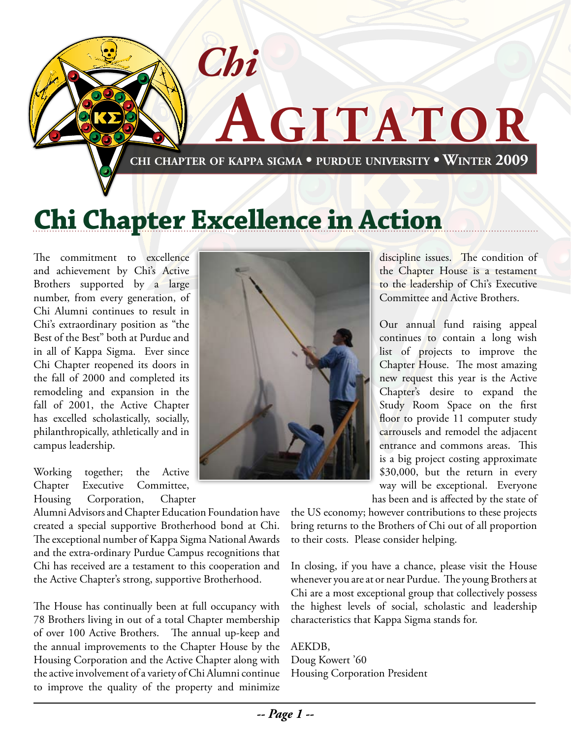

# **Chi Chapter Excellence in Action**

The commitment to excellence and achievement by Chi's Active Brothers supported by a large number, from every generation, of Chi Alumni continues to result in Chi's extraordinary position as "the Best of the Best" both at Purdue and in all of Kappa Sigma. Ever since Chi Chapter reopened its doors in the fall of 2000 and completed its remodeling and expansion in the fall of 2001, the Active Chapter has excelled scholastically, socially, philanthropically, athletically and in campus leadership.

Working together; the Active Chapter Executive Committee, Housing Corporation, Chapter

Alumni Advisors and Chapter Education Foundation have created a special supportive Brotherhood bond at Chi. The exceptional number of Kappa Sigma National Awards and the extra-ordinary Purdue Campus recognitions that Chi has received are a testament to this cooperation and the Active Chapter's strong, supportive Brotherhood.

The House has continually been at full occupancy with 78 Brothers living in out of a total Chapter membership of over 100 Active Brothers. The annual up-keep and the annual improvements to the Chapter House by the Housing Corporation and the Active Chapter along with the active involvement of a variety of Chi Alumni continue to improve the quality of the property and minimize



discipline issues. The condition of the Chapter House is a testament to the leadership of Chi's Executive Committee and Active Brothers.

Our annual fund raising appeal continues to contain a long wish list of projects to improve the Chapter House. The most amazing new request this year is the Active Chapter's desire to expand the Study Room Space on the first floor to provide 11 computer study carrousels and remodel the adjacent entrance and commons areas. This is a big project costing approximate \$30,000, but the return in every way will be exceptional. Everyone has been and is affected by the state of

the US economy; however contributions to these projects bring returns to the Brothers of Chi out of all proportion to their costs. Please consider helping.

In closing, if you have a chance, please visit the House whenever you are at or near Purdue. The young Brothers at Chi are a most exceptional group that collectively possess the highest levels of social, scholastic and leadership characteristics that Kappa Sigma stands for.

AEKDB, Doug Kowert '60 Housing Corporation President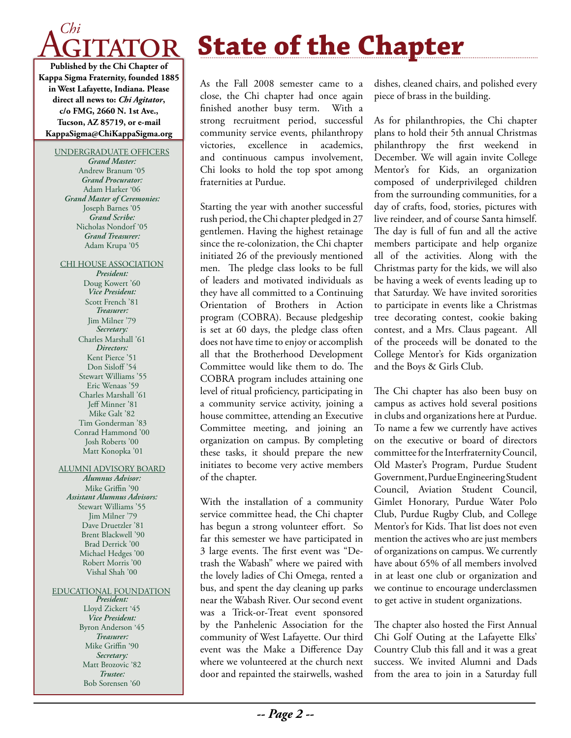

**Kappa Sigma Fraternity, founded 1885 in West Lafayette, Indiana. Please direct all news to:** *Chi Agitator***, c/o FMG, 2660 N. 1st Ave., Tucson, AZ 85719, or e-mail KappaSigma@ChiKappaSigma.org**

#### UNDERGRADUATE OFFICERS

*Grand Master:* Andrew Branum '05 *Grand Procurator:* Adam Harker '06 *Grand Master of Ceremonies:* Joseph Barnes '05 *Grand Scribe:* Nicholas Nondorf '05 *Grand Treasurer:* Adam Krupa '05

#### CHI HOUSE ASSOCIATION

*President:* Doug Kowert '60 *Vice President:* Scott French '81 *Treasurer:* Jim Milner '79 *Secretary:* Charles Marshall '61 *Directors:* Kent Pierce '51 Don Sisloff<sup>'54</sup> Stewart Williams '55 Eric Wenaas '59 Charles Marshall '61 Jeff Minner '81 Mike Galt '82 Tim Gonderman '83 Conrad Hammond '00 Josh Roberts '00 Matt Konopka '01

#### ALUMNI ADVISORY BOARD

*Alumnus Advisor:* Mike Griffin '90 *Assistant Alumnus Advisors:* Stewart Williams '55 Jim Milner '79 Dave Druetzler '81 Brent Blackwell '90 Brad Derrick '00 Michael Hedges '00 Robert Morris '00 Vishal Shah '00

#### EDUCATIONAL FOUNDATION

*President:* Lloyd Zickert '45 *Vice President:* Byron Anderson '45 *Treasurer:* Mike Griffin '90 *Secretary:* Matt Brozovic '82 *Trustee:* Bob Sorensen '60

# **State of the Chapter**

As the Fall 2008 semester came to a close, the Chi chapter had once again finished another busy term. With a strong recruitment period, successful community service events, philanthropy victories, excellence in academics, and continuous campus involvement, Chi looks to hold the top spot among fraternities at Purdue.

Starting the year with another successful rush period, the Chi chapter pledged in 27 gentlemen. Having the highest retainage since the re-colonization, the Chi chapter initiated 26 of the previously mentioned men. The pledge class looks to be full of leaders and motivated individuals as they have all committed to a Continuing Orientation of Brothers in Action program (COBRA). Because pledgeship is set at 60 days, the pledge class often does not have time to enjoy or accomplish all that the Brotherhood Development Committee would like them to do. The COBRA program includes attaining one level of ritual proficiency, participating in a community service activity, joining a house committee, attending an Executive Committee meeting, and joining an organization on campus. By completing these tasks, it should prepare the new initiates to become very active members of the chapter.

With the installation of a community service committee head, the Chi chapter has begun a strong volunteer effort. So far this semester we have participated in 3 large events. The first event was "Detrash the Wabash" where we paired with the lovely ladies of Chi Omega, rented a bus, and spent the day cleaning up parks near the Wabash River. Our second event was a Trick-or-Treat event sponsored by the Panhelenic Association for the community of West Lafayette. Our third event was the Make a Difference Day where we volunteered at the church next door and repainted the stairwells, washed dishes, cleaned chairs, and polished every piece of brass in the building.

As for philanthropies, the Chi chapter plans to hold their 5th annual Christmas philanthropy the first weekend in December. We will again invite College Mentor's for Kids, an organization composed of underprivileged children from the surrounding communities, for a day of crafts, food, stories, pictures with live reindeer, and of course Santa himself. The day is full of fun and all the active members participate and help organize all of the activities. Along with the Christmas party for the kids, we will also be having a week of events leading up to that Saturday. We have invited sororities to participate in events like a Christmas tree decorating contest, cookie baking contest, and a Mrs. Claus pageant. All of the proceeds will be donated to the College Mentor's for Kids organization and the Boys & Girls Club.

The Chi chapter has also been busy on campus as actives hold several positions in clubs and organizations here at Purdue. To name a few we currently have actives on the executive or board of directors committee for the Interfraternity Council, Old Master's Program, Purdue Student Government, Purdue Engineering Student Council, Aviation Student Council, Gimlet Honorary, Purdue Water Polo Club, Purdue Rugby Club, and College Mentor's for Kids. That list does not even mention the actives who are just members of organizations on campus. We currently have about 65% of all members involved in at least one club or organization and we continue to encourage underclassmen to get active in student organizations.

The chapter also hosted the First Annual Chi Golf Outing at the Lafayette Elks' Country Club this fall and it was a great success. We invited Alumni and Dads from the area to join in a Saturday full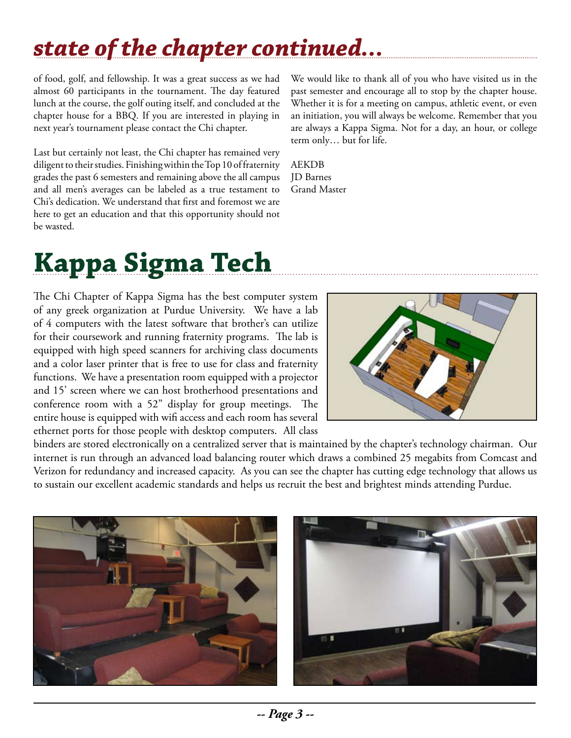# *state of the chapter continued...*

of food, golf, and fellowship. It was a great success as we had almost 60 participants in the tournament. The day featured lunch at the course, the golf outing itself, and concluded at the chapter house for a BBQ. If you are interested in playing in next year's tournament please contact the Chi chapter.

Last but certainly not least, the Chi chapter has remained very diligent to their studies. Finishing within the Top 10 of fraternity grades the past 6 semesters and remaining above the all campus and all men's averages can be labeled as a true testament to Chi's dedication. We understand that first and foremost we are here to get an education and that this opportunity should not be wasted.

We would like to thank all of you who have visited us in the past semester and encourage all to stop by the chapter house. Whether it is for a meeting on campus, athletic event, or even an initiation, you will always be welcome. Remember that you are always a Kappa Sigma. Not for a day, an hour, or college term only… but for life.

AEKDB JD Barnes Grand Master

# **Kappa Sigma Tech**

The Chi Chapter of Kappa Sigma has the best computer system of any greek organization at Purdue University. We have a lab of 4 computers with the latest software that brother's can utilize for their coursework and running fraternity programs. The lab is equipped with high speed scanners for archiving class documents and a color laser printer that is free to use for class and fraternity functions. We have a presentation room equipped with a projector and 15' screen where we can host brotherhood presentations and conference room with a 52" display for group meetings. The entire house is equipped with wifi access and each room has several ethernet ports for those people with desktop computers. All class



binders are stored electronically on a centralized server that is maintained by the chapter's technology chairman. Our internet is run through an advanced load balancing router which draws a combined 25 megabits from Comcast and Verizon for redundancy and increased capacity. As you can see the chapter has cutting edge technology that allows us to sustain our excellent academic standards and helps us recruit the best and brightest minds attending Purdue.

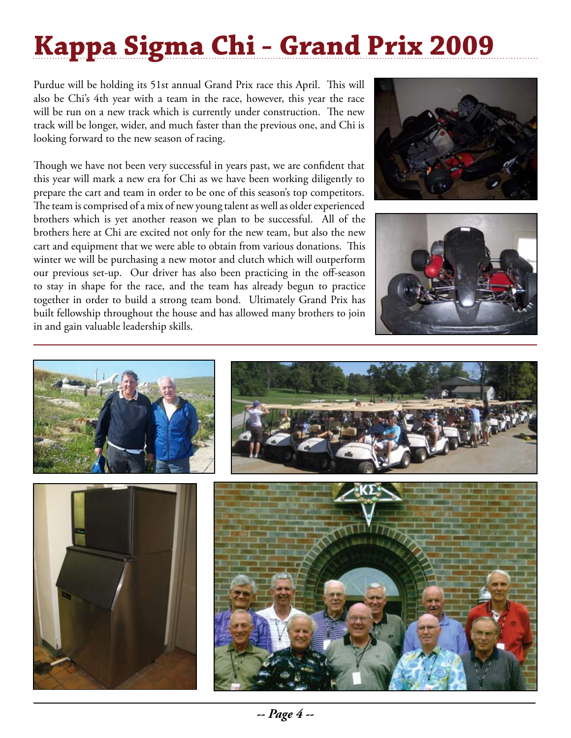# **Kappa Sigma Chi - Grand Prix 2009**

Purdue will be holding its 51st annual Grand Prix race this April. This will also be Chi's 4th year with a team in the race, however, this year the race will be run on a new track which is currently under construction. The new track will be longer, wider, and much faster than the previous one, and Chi is looking forward to the new season of racing.

Though we have not been very successful in years past, we are confident that this year will mark a new era for Chi as we have been working diligently to prepare the cart and team in order to be one of this season's top competitors. The team is comprised of a mix of new young talent as well as older experienced brothers which is yet another reason we plan to be successful. All of the brothers here at Chi are excited not only for the new team, but also the new cart and equipment that we were able to obtain from various donations. This winter we will be purchasing a new motor and clutch which will outperform our previous set-up. Our driver has also been practicing in the off-season to stay in shape for the race, and the team has already begun to practice together in order to build a strong team bond. Ultimately Grand Prix has built fellowship throughout the house and has allowed many brothers to join in and gain valuable leadership skills.





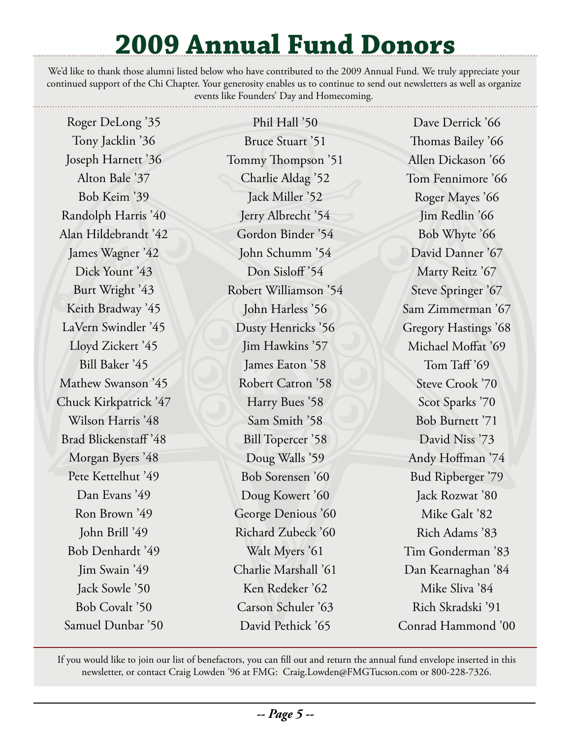# **2009 Annual Fund Donors**

We'd like to thank those alumni listed below who have contributed to the 2009 Annual Fund. We truly appreciate your continued support of the Chi Chapter. Your generosity enables us to continue to send out newsletters as well as organize events like Founders' Day and Homecoming.

Roger DeLong '35 Tony Jacklin '36 Joseph Harnett '36 Alton Bale '37 Bob Keim '39 Randolph Harris '40 Alan Hildebrandt '42 James Wagner '42 Dick Yount '43 Burt Wright '43 Keith Bradway '45 LaVern Swindler '45 Lloyd Zickert '45 Bill Baker '45 Mathew Swanson '45 Chuck Kirkpatrick '47 Wilson Harris '48 Brad Blickenstaff '48 Morgan Byers '48 Pete Kettelhut '49 Dan Evans '49 Ron Brown '49 John Brill '49 Bob Denhardt '49 Jim Swain '49 Jack Sowle '50 Bob Covalt '50 Samuel Dunbar '50

Phil Hall '50 Bruce Stuart '51 Tommy Thompson '51 Charlie Aldag '52 Jack Miller '52 Jerry Albrecht '54 Gordon Binder '54 John Schumm '54 Don Sisloff<sup>'54</sup> Robert Williamson '54 John Harless '56 Dusty Henricks '56 Jim Hawkins '57 James Eaton '58 Robert Catron '58 Harry Bues '58 Sam Smith '58 Bill Topercer '58 Doug Walls '59 Bob Sorensen '60 Doug Kowert '60 George Denious '60 Richard Zubeck '60 Walt Myers '61 Charlie Marshall '61 Ken Redeker '62 Carson Schuler '63 David Pethick '65

Dave Derrick '66 Thomas Bailey '66 Allen Dickason '66 Tom Fennimore '66 Roger Mayes '66 Jim Redlin '66 Bob Whyte '66 David Danner '67 Marty Reitz '67 Steve Springer '67 Sam Zimmerman '67 Gregory Hastings '68 Michael Moffat '69 Tom Taff '69 Steve Crook '70 Scot Sparks '70 Bob Burnett '71 David Niss '73 Andy Hoffman '74 Bud Ripberger '79 Jack Rozwat '80 Mike Galt '82 Rich Adams '83 Tim Gonderman '83 Dan Kearnaghan '84 Mike Sliva '84 Rich Skradski '91 Conrad Hammond '00

If you would like to join our list of benefactors, you can fill out and return the annual fund envelope inserted in this newsletter, or contact Craig Lowden '96 at FMG: Craig.Lowden@FMGTucson.com or 800-228-7326.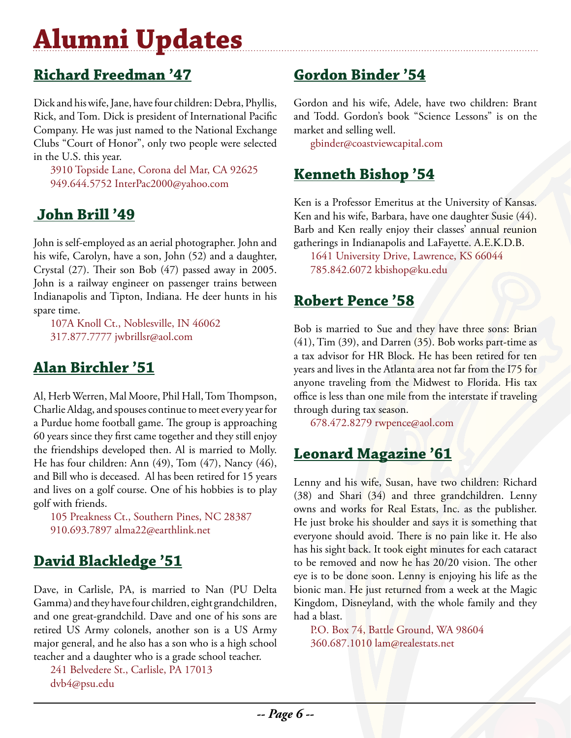# **Alumni Updates**

# **Richard Freedman '47**

Dick and his wife, Jane, have four children: Debra, Phyllis, Rick, and Tom. Dick is president of International Pacific Company. He was just named to the National Exchange Clubs "Court of Honor", only two people were selected in the U.S. this year.

3910 Topside Lane, Corona del Mar, CA 92625 949.644.5752 InterPac2000@yahoo.com

## **John Brill '49**

John is self-employed as an aerial photographer. John and his wife, Carolyn, have a son, John (52) and a daughter, Crystal (27). Their son Bob (47) passed away in 2005. John is a railway engineer on passenger trains between Indianapolis and Tipton, Indiana. He deer hunts in his spare time.

107A Knoll Ct., Noblesville, IN 46062 317.877.7777 jwbrillsr@aol.com

# **Alan Birchler '51**

Al, Herb Werren, Mal Moore, Phil Hall, Tom Thompson, Charlie Aldag, and spouses continue to meet every year for a Purdue home football game. The group is approaching 60 years since they first came together and they still enjoy the friendships developed then. Al is married to Molly. He has four children: Ann (49), Tom (47), Nancy (46), and Bill who is deceased. Al has been retired for 15 years and lives on a golf course. One of his hobbies is to play golf with friends.

105 Preakness Ct., Southern Pines, NC 28387 910.693.7897 alma22@earthlink.net

# **David Blackledge '51**

Dave, in Carlisle, PA, is married to Nan (PU Delta Gamma) and they have four children, eight grandchildren, and one great-grandchild. Dave and one of his sons are retired US Army colonels, another son is a US Army major general, and he also has a son who is a high school teacher and a daughter who is a grade school teacher.

241 Belvedere St., Carlisle, PA 17013 dvb4@psu.edu

# **Gordon Binder '54**

Gordon and his wife, Adele, have two children: Brant and Todd. Gordon's book "Science Lessons" is on the market and selling well.

gbinder@coastviewcapital.com

### **Kenneth Bishop '54**

Ken is a Professor Emeritus at the University of Kansas. Ken and his wife, Barbara, have one daughter Susie (44). Barb and Ken really enjoy their classes' annual reunion gatherings in Indianapolis and LaFayette. A.E.K.D.B.

1641 University Drive, Lawrence, KS 66044 785.842.6072 kbishop@ku.edu

### **Robert Pence '58**

Bob is married to Sue and they have three sons: Brian (41), Tim (39), and Darren (35). Bob works part-time as a tax advisor for HR Block. He has been retired for ten years and lives in the Atlanta area not far from the I75 for anyone traveling from the Midwest to Florida. His tax office is less than one mile from the interstate if traveling through during tax season.

678.472.8279 rwpence@aol.com

# **Leonard Magazine '61**

Lenny and his wife, Susan, have two children: Richard (38) and Shari (34) and three grandchildren. Lenny owns and works for Real Estats, Inc. as the publisher. He just broke his shoulder and says it is something that everyone should avoid. There is no pain like it. He also has his sight back. It took eight minutes for each cataract to be removed and now he has 20/20 vision. The other eye is to be done soon. Lenny is enjoying his life as the bionic man. He just returned from a week at the Magic Kingdom, Disneyland, with the whole family and they had a blast.

P.O. Box 74, Battle Ground, WA 98604 360.687.1010 lam@realestats.net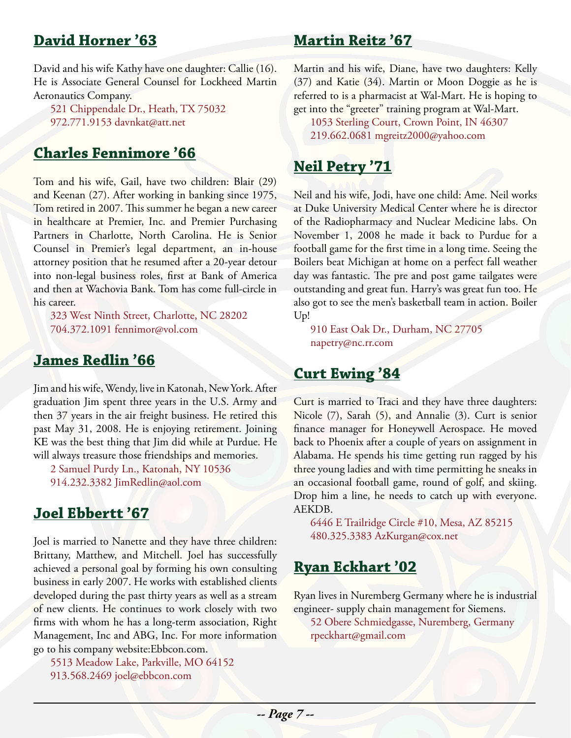### **David Horner '63**

David and his wife Kathy have one daughter: Callie (16). He is Associate General Counsel for Lockheed Martin Aeronautics Company.

521 Chippendale Dr., Heath, TX 75032 972.771.9153 davnkat@att.net

### **Charles Fennimore '66**

Tom and his wife, Gail, have two children: Blair (29) and Keenan (27). After working in banking since 1975, Tom retired in 2007. This summer he began a new career in healthcare at Premier, Inc. and Premier Purchasing Partners in Charlotte, North Carolina. He is Senior Counsel in Premier's legal department, an in-house attorney position that he resumed after a 20-year detour into non-legal business roles, first at Bank of America and then at Wachovia Bank. Tom has come full-circle in his career.

323 West Ninth Street, Charlotte, NC 28202 704.372.1091 fennimor@vol.com

### **James Redlin '66**

Jim and his wife, Wendy, live in Katonah, New York. After graduation Jim spent three years in the U.S. Army and then 37 years in the air freight business. He retired this past May 31, 2008. He is enjoying retirement. Joining KE was the best thing that Jim did while at Purdue. He will always treasure those friendships and memories.

2 Samuel Purdy Ln., Katonah, NY 10536 914.232.3382 JimRedlin@aol.com

#### **Joel Ebbertt '67**

Joel is married to Nanette and they have three children: Brittany, Matthew, and Mitchell. Joel has successfully achieved a personal goal by forming his own consulting business in early 2007. He works with established clients developed during the past thirty years as well as a stream of new clients. He continues to work closely with two firms with whom he has a long-term association, Right Management, Inc and ABG, Inc. For more information go to his company website:Ebbcon.com.

5513 Meadow Lake, Parkville, MO 64152 913.568.2469 joel@ebbcon.com

#### **Martin Reitz '67**

Martin and his wife, Diane, have two daughters: Kelly (37) and Katie (34). Martin or Moon Doggie as he is referred to is a pharmacist at Wal-Mart. He is hoping to get into the "greeter" training program at Wal-Mart.

1053 Sterling Court, Crown Point, IN 46307 219.662.0681 mgreitz2000@yahoo.com

### **Neil Petry '71**

Neil and his wife, Jodi, have one child: Ame. Neil works at Duke University Medical Center where he is director of the Radiopharmacy and Nuclear Medicine labs. On November 1, 2008 he made it back to Purdue for a football game for the first time in a long time. Seeing the Boilers beat Michigan at home on a perfect fall weather day was fantastic. The pre and post game tailgates were outstanding and great fun. Harry's was great fun too. He also got to see the men's basketball team in action. Boiler Up!

910 East Oak Dr., Durham, NC 27705 napetry@nc.rr.com

### **Curt Ewing '84**

Curt is married to Traci and they have three daughters: Nicole (7), Sarah (5), and Annalie (3). Curt is senior finance manager for Honeywell Aerospace. He moved back to Phoenix after a couple of years on assignment in Alabama. He spends his time getting run ragged by his three young ladies and with time permitting he sneaks in an occasional football game, round of golf, and skiing. Drop him a line, he needs to catch up with everyone. AEKDB.

6446 E Trailridge Circle #10, Mesa, AZ 85215 480.325.3383 AzKurgan@cox.net

#### **Ryan Eckhart '02**

Ryan lives in Nuremberg Germany where he is industrial engineer- supply chain management for Siemens.

52 Obere Schmiedgasse, Nuremberg, Germany rpeckhart@gmail.com